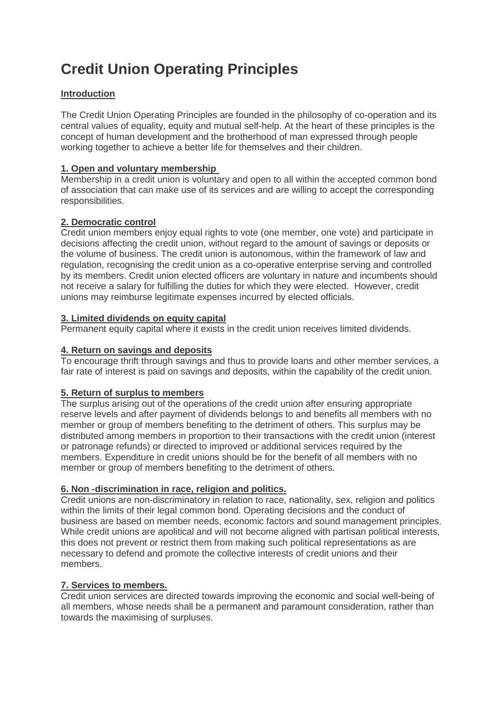# **Credit Union Operating Principles**

# **Introduction**

The Credit Union Operating Principles are founded in the philosophy of co-operation and its central values of equality, equity and mutual self-help. At the heart of these principles is the concept of human development and the brotherhood of man expressed through people working together to achieve a better life for themselves and their children.

## **1. Open and voluntary membership**

Membership in a credit union is voluntary and open to all within the accepted common bond of association that can make use of its services and are willing to accept the corresponding responsibilities.

## **2. Democratic control**

Credit union members enjoy equal rights to vote (one member, one vote) and participate in decisions affecting the credit union, without regard to the amount of savings or deposits or the volume of business. The credit union is autonomous, within the framework of law and regulation, recognising the credit union as a co-operative enterprise serving and controlled by its members. Credit union elected officers are voluntary in nature and incumbents should not receive a salary for fulfilling the duties for which they were elected. However, credit unions may reimburse legitimate expenses incurred by elected officials.

## **3. Limited dividends on equity capital**

Permanent equity capital where it exists in the credit union receives limited dividends.

## **4. Return on savings and deposits**

To encourage thrift through savings and thus to provide loans and other member services, a fair rate of interest is paid on savings and deposits, within the capability of the credit union.

## **5. Return of surplus to members**

The surplus arising out of the operations of the credit union after ensuring appropriate reserve levels and after payment of dividends belongs to and benefits all members with no member or group of members benefiting to the detriment of others. This surplus may be distributed among members in proportion to their transactions with the credit union (interest or patronage refunds) or directed to improved or additional services required by the members. Expenditure in credit unions should be for the benefit of all members with no member or group of members benefiting to the detriment of others.

## **6. Non -discrimination in race, religion and politics.**

Credit unions are non-discriminatory in relation to race, nationality, sex, religion and politics within the limits of their legal common bond. Operating decisions and the conduct of business are based on member needs, economic factors and sound management principles. While credit unions are apolitical and will not become aligned with partisan political interests, this does not prevent or restrict them from making such political representations as are necessary to defend and promote the collective interests of credit unions and their members.

## **7. Services to members.**

Credit union services are directed towards improving the economic and social well-being of all members, whose needs shall be a permanent and paramount consideration, rather than towards the maximising of surpluses.